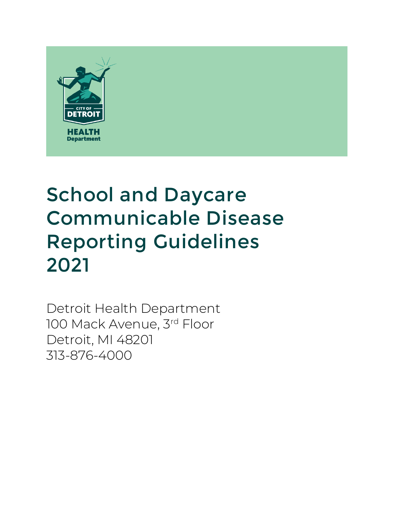

# School and Daycare Communicable Disease Reporting Guidelines 2021

Detroit Health Department 100 Mack Avenue, 3rd Floor Detroit, MI 48201 313-876-4000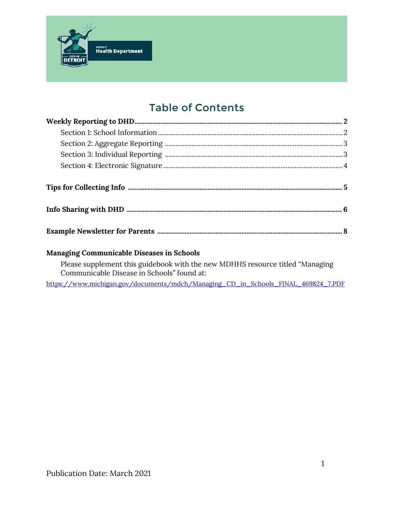

# Table of Contents

#### **Managing Communicable Diseases in Schools**

Please supplement this guidebook with the new MDHHS resource titled "Managing Communicable Disease in Schools" found at:

[https://www.michigan.gov/documents/mdch/Managing\\_CD\\_in\\_Schools\\_FINAL\\_469824\\_7.PDF](https://www.michigan.gov/documents/mdch/Managing_CD_in_Schools_FINAL_469824_7.PDF)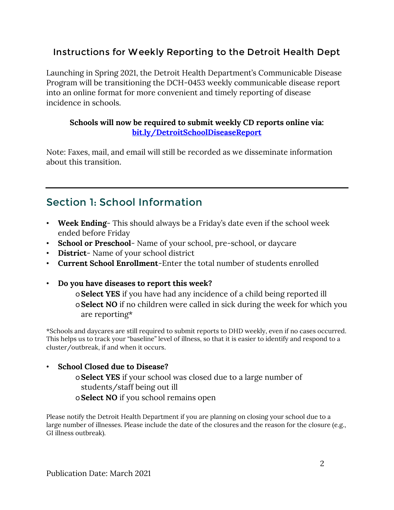## Instructions for Weekly Reporting to the Detroit Health Dept

Launching in Spring 2021, the Detroit Health Department's Communicable Disease Program will be transitioning the DCH-0453 weekly communicable disease report into an online format for more convenient and timely reporting of disease incidence in schools.

#### **Schools will now be required to submit weekly CD reports online via: [bit.ly/DetroitSchoolDiseaseReport](file://ds.detroitmi.gov/Departments/Health/Style%20Guide/All%20Templates/2019%20-%202020%20New%20DHD%20Templates/bit.ly/DetroitSchoolDiseaseReport)**

Note: Faxes, mail, and email will still be recorded as we disseminate information about this transition.

# Section 1: School Information

- **Week Ending** This should always be a Friday's date even if the school week ended before Friday
- **School or Preschool** Name of your school, pre-school, or daycare
- **District** Name of your school district
- **Current School Enrollment**-Enter the total number of students enrolled
- **Do you have diseases to report this week?**

o**Select YES** if you have had any incidence of a child being reported ill o**Select NO** if no children were called in sick during the week for which you are reporting\*

\*Schools and daycares are still required to submit reports to DHD weekly, even if no cases occurred. This helps us to track your "baseline" level of illness, so that it is easier to identify and respond to a cluster/outbreak, if and when it occurs.

#### • **School Closed due to Disease?**

o**Select YES** if your school was closed due to a large number of students/staff being out ill

o**Select NO** if you school remains open

Please notify the Detroit Health Department if you are planning on closing your school due to a large number of illnesses. Please include the date of the closures and the reason for the closure (e.g., GI illness outbreak).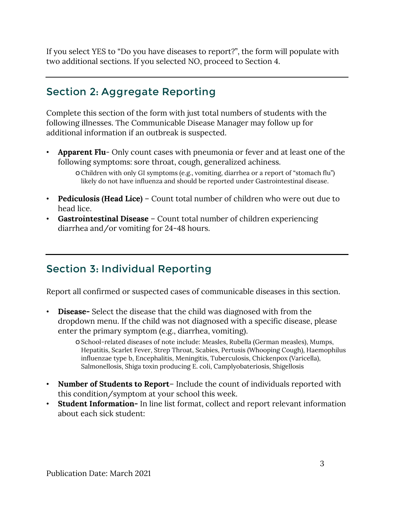If you select YES to "Do you have diseases to report?", the form will populate with two additional sections. If you selected NO, proceed to Section 4.

# Section 2: Aggregate Reporting

Complete this section of the form with just total numbers of students with the following illnesses. The Communicable Disease Manager may follow up for additional information if an outbreak is suspected.

• **Apparent Flu**- Only count cases with pneumonia or fever and at least one of the following symptoms: sore throat, cough, generalized achiness.

- **Pediculosis (Head Lice)** Count total number of children who were out due to head lice.
- **Gastrointestinal Disease** Count total number of children experiencing diarrhea and/or vomiting for 24-48 hours.

# Section 3: Individual Reporting

Report all confirmed or suspected cases of communicable diseases in this section.

• **Disease-** Select the disease that the child was diagnosed with from the dropdown menu. If the child was not diagnosed with a specific disease, please enter the primary symptom (e.g., diarrhea, vomiting).

> oSchool-related diseases of note include: Measles, Rubella (German measles), Mumps, Hepatitis, Scarlet Fever, Strep Throat, Scabies, Pertusis (Whooping Cough), Haemophilus influenzae type b, Encephalitis, Meningitis, Tuberculosis, Chickenpox (Varicella), Salmonellosis, Shiga toxin producing E. coli, Camplyobateriosis, Shigellosis

- **Number of Students to Report** Include the count of individuals reported with this condition/symptom at your school this week.
- **Student Information-** In line list format, collect and report relevant information about each sick student:

oChildren with only GI symptoms (e.g., vomiting, diarrhea or a report of "stomach flu") likely do not have influenza and should be reported under Gastrointestinal disease.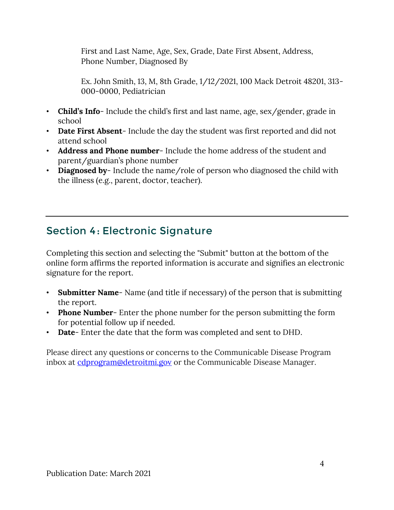First and Last Name, Age, Sex, Grade, Date First Absent, Address, Phone Number, Diagnosed By

Ex. John Smith, 13, M, 8th Grade, 1/12/2021, 100 Mack Detroit 48201, 313- 000-0000, Pediatrician

- **Child's Info** Include the child's first and last name, age, sex/gender, grade in school
- **Date First Absent** Include the day the student was first reported and did not attend school
- **Address and Phone number** Include the home address of the student and parent/guardian's phone number
- **Diagnosed by** Include the name/role of person who diagnosed the child with the illness (e.g., parent, doctor, teacher).

# Section 4: Electronic Signature

Completing this section and selecting the "Submit" button at the bottom of the online form affirms the reported information is accurate and signifies an electronic signature for the report.

- **Submitter Name** Name (and title if necessary) of the person that is submitting the report.
- **Phone Number** Enter the phone number for the person submitting the form for potential follow up if needed.
- **Date** Enter the date that the form was completed and sent to DHD.

Please direct any questions or concerns to the Communicable Disease Program inbox at [cdprogram@detroitmi.gov](mailto:cdprogram@detroitmi.gov) or the Communicable Disease Manager.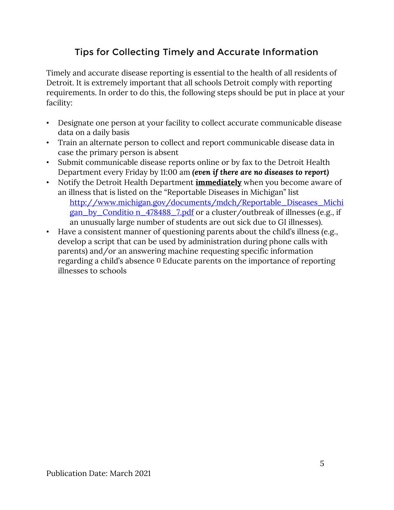## Tips for Collecting Timely and Accurate Information

Timely and accurate disease reporting is essential to the health of all residents of Detroit. It is extremely important that all schools Detroit comply with reporting requirements. In order to do this, the following steps should be put in place at your facility:

- Designate one person at your facility to collect accurate communicable disease data on a daily basis
- Train an alternate person to collect and report communicable disease data in case the primary person is absent
- Submit communicable disease reports online or by fax to the Detroit Health Department every Friday by 11:00 am *(even if there are no diseases to report)*
- Notify the Detroit Health Department **immediately** when you become aware of an illness that is listed on the "Reportable Diseases in Michigan" list [http://www.michigan.gov/documents/mdch/Reportable\\_Diseases\\_Michi](http://www.michigan.gov/documents/mdch/Reportable_Diseases_Michigan_by_Condition_478488_7.pdf) [gan\\_by\\_Conditio n\\_478488\\_7.pdf](http://www.michigan.gov/documents/mdch/Reportable_Diseases_Michigan_by_Condition_478488_7.pdf) [o](http://www.michigan.gov/documents/mdch/Reportable_Diseases_Michigan_by_Condition_478488_7.pdf)r a cluster/outbreak of illnesses (e.g., if an unusually large number of students are out sick due to GI illnesses).
- Have a consistent manner of questioning parents about the child's illness (e.g., develop a script that can be used by administration during phone calls with parents) and/or an answering machine requesting specific information regarding a child's absence  $\Box$  Educate parents on the importance of reporting illnesses to schools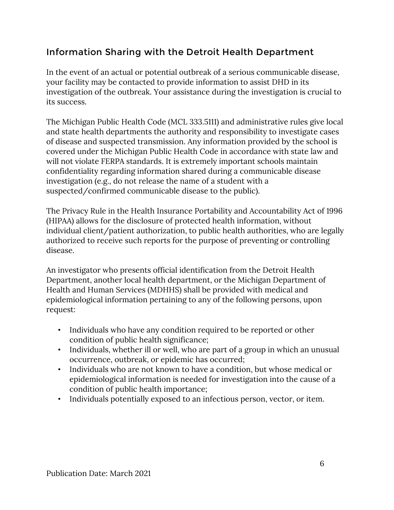## Information Sharing with the Detroit Health Department

In the event of an actual or potential outbreak of a serious communicable disease, your facility may be contacted to provide information to assist DHD in its investigation of the outbreak. Your assistance during the investigation is crucial to its success.

The Michigan Public Health Code (MCL 333.5111) and administrative rules give local and state health departments the authority and responsibility to investigate cases of disease and suspected transmission. Any information provided by the school is covered under the Michigan Public Health Code in accordance with state law and will not violate FERPA standards. It is extremely important schools maintain confidentiality regarding information shared during a communicable disease investigation (e.g., do not release the name of a student with a suspected/confirmed communicable disease to the public).

The Privacy Rule in the Health Insurance Portability and Accountability Act of 1996 (HIPAA) allows for the disclosure of protected health information, without individual client/patient authorization, to public health authorities, who are legally authorized to receive such reports for the purpose of preventing or controlling disease.

An investigator who presents official identification from the Detroit Health Department, another local health department, or the Michigan Department of Health and Human Services (MDHHS) shall be provided with medical and epidemiological information pertaining to any of the following persons, upon request:

- Individuals who have any condition required to be reported or other condition of public health significance;
- Individuals, whether ill or well, who are part of a group in which an unusual occurrence, outbreak, or epidemic has occurred;
- Individuals who are not known to have a condition, but whose medical or epidemiological information is needed for investigation into the cause of a condition of public health importance;
- Individuals potentially exposed to an infectious person, vector, or item.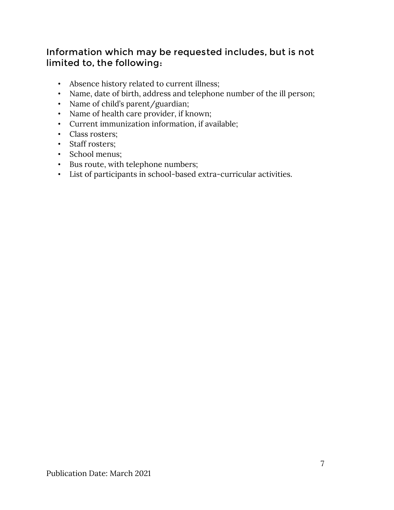#### Information which may be requested includes, but is not limited to, the following:

- Absence history related to current illness;
- Name, date of birth, address and telephone number of the ill person;
- Name of child's parent/guardian;
- Name of health care provider, if known;
- Current immunization information, if available;
- Class rosters;
- Staff rosters;
- School menus;
- Bus route, with telephone numbers;
- List of participants in school-based extra-curricular activities.